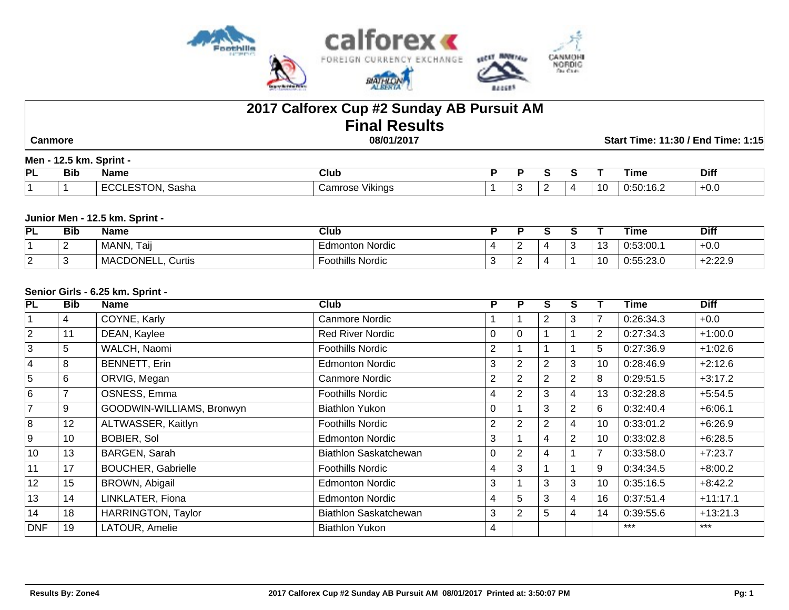

# **2017 Calforex Cup #2 Sunday AB Pursuit AM Final Results**

 **Canmore 08/01/2017 Start Time: 11:30 / End Time: 1:15**

## **Men - 12.5 km. Sprint -**

| PL | --<br>Bıb | Name                  | Club                            |  |  |                          | ⊺ıme                                     | <b>Diff</b> |
|----|-----------|-----------------------|---------------------------------|--|--|--------------------------|------------------------------------------|-------------|
|    |           | `oob.<br>51 Id<br>המכ | .<br>amracc<br>√ikino<br>$\sim$ |  |  | $\overline{\phantom{a}}$ | $\lambda$ $\sim$ $\lambda$<br>.<br>. v.z | гv.u        |

#### **Junior Men - 12.5 km. Sprint -**

| PL     | <b>Bib</b> | <b>Name</b>          | <b>Club</b>      |  |  |                      | Time                         | <b>Diff</b> |
|--------|------------|----------------------|------------------|--|--|----------------------|------------------------------|-------------|
|        |            | Taij<br>MANN,        | Edmonton Nordic  |  |  | $\overline{ }$<br>ب⊦ | 0:53:00.1                    | $+0.0$      |
| ⌒<br>╺ | . .        | MACDONELL,<br>Curtis | Foothills Nordic |  |  | <b>A</b>             | 0.55.22C<br><u>u.oo.zo.u</u> | $+2:22.9$   |

#### **Senior Girls - 6.25 km. Sprint -**

| PL             | <b>Bib</b> | Name                      | Club                    | P              | Р              | s              | S              |                | Time      | <b>Diff</b> |
|----------------|------------|---------------------------|-------------------------|----------------|----------------|----------------|----------------|----------------|-----------|-------------|
|                | 4          | COYNE, Karly              | Canmore Nordic          |                |                | 2              | 3              | 7              | 0:26:34.3 | $+0.0$      |
| $\overline{2}$ | 11         | DEAN, Kaylee              | <b>Red River Nordic</b> | $\Omega$       | $\Omega$       |                |                | $\overline{2}$ | 0:27:34.3 | $+1:00.0$   |
| $\overline{3}$ | 5          | WALCH, Naomi              | <b>Foothills Nordic</b> | 2              |                |                |                | 5              | 0:27:36.9 | $+1:02.6$   |
| 4              | 8          | <b>BENNETT, Erin</b>      | <b>Edmonton Nordic</b>  | 3              | $\overline{2}$ | $\overline{2}$ | 3              | 10             | 0:28:46.9 | $+2:12.6$   |
| $\overline{5}$ | 6          | ORVIG, Megan              | Canmore Nordic          | $\overline{2}$ | $\overline{2}$ | 2              | $\overline{2}$ | 8              | 0:29:51.5 | $+3:17.2$   |
| $\overline{6}$ | 7          | OSNESS, Emma              | Foothills Nordic        | 4              | $\overline{2}$ | 3              | $\overline{4}$ | 13             | 0:32:28.8 | $+5:54.5$   |
| $\overline{7}$ | 9          | GOODWIN-WILLIAMS, Bronwyn | <b>Biathlon Yukon</b>   | U              |                | 3              | $\overline{2}$ | 6              | 0:32:40.4 | $+6:06.1$   |
| 8              | 12         | ALTWASSER, Kaitlyn        | Foothills Nordic        | 2              | 2              | $\overline{2}$ | 4              | 10             | 0:33:01.2 | $+6:26.9$   |
| 9              | 10         | BOBIER, Sol               | <b>Edmonton Nordic</b>  | 3              |                | 4              | 2              | 10             | 0:33:02.8 | $+6:28.5$   |
| 10             | 13         | BARGEN, Sarah             | Biathlon Saskatchewan   | 0              | 2              | 4              |                | 7              | 0:33:58.0 | $+7:23.7$   |
| 11             | 17         | <b>BOUCHER, Gabrielle</b> | <b>Foothills Nordic</b> | 4              | 3              |                |                | 9              | 0:34:34.5 | $+8:00.2$   |
| 12             | 15         | BROWN, Abigail            | <b>Edmonton Nordic</b>  | 3              |                | 3              | 3              | 10             | 0:35:16.5 | $+8:42.2$   |
| 13             | 14         | LINKLATER, Fiona          | <b>Edmonton Nordic</b>  | 4              | 5              | 3              | 4              | 16             | 0:37:51.4 | $+11:17.1$  |
| 14             | 18         | <b>HARRINGTON, Taylor</b> | Biathlon Saskatchewan   | 3              | $\overline{2}$ | $5^{\circ}$    | 4              | 14             | 0:39:55.6 | $+13:21.3$  |
| DNF            | 19         | LATOUR, Amelie            | <b>Biathlon Yukon</b>   | 4              |                |                |                |                | $***$     | $***$       |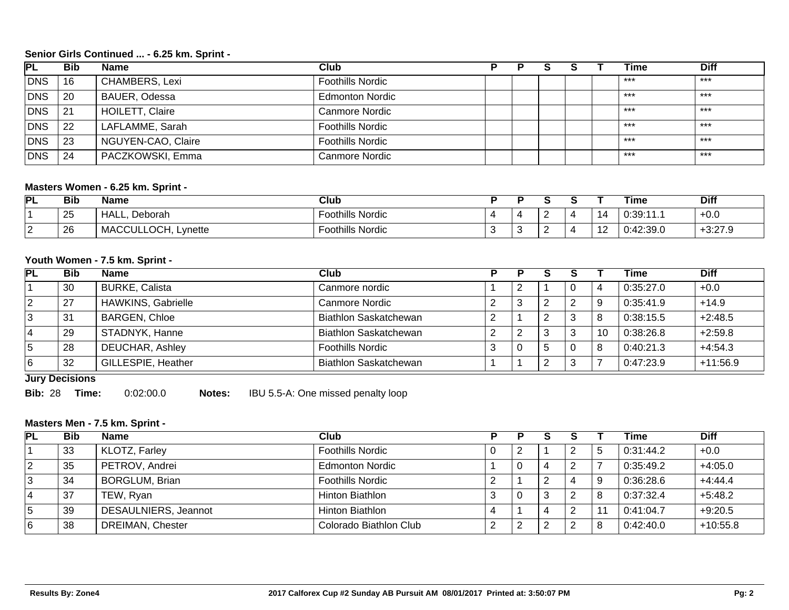## **Senior Girls Continued ... - 6.25 km. Sprint -**

| <b>PL</b>  | <b>Bib</b> | <b>Name</b>            | Club                    |  |  | Time  | <b>Diff</b> |
|------------|------------|------------------------|-------------------------|--|--|-------|-------------|
| DNS        | -16        | <b>CHAMBERS, Lexi</b>  | <b>Foothills Nordic</b> |  |  | $***$ | $***$       |
| <b>DNS</b> | 20         | BAUER, Odessa          | <b>Edmonton Nordic</b>  |  |  | $***$ | ***         |
| <b>DNS</b> | 21         | <b>HOILETT, Claire</b> | Canmore Nordic          |  |  | $***$ | $***$       |
| <b>DNS</b> | 22         | LAFLAMME, Sarah        | <b>Foothills Nordic</b> |  |  | $***$ | ***         |
| <b>DNS</b> | 23         | NGUYEN-CAO, Claire     | <b>Foothills Nordic</b> |  |  | ***   | ***         |
| DNS        | 24         | PACZKOWSKI, Emma       | Canmore Nordic          |  |  | $***$ | ***         |

## **Masters Women - 6.25 km. Sprint -**

| PL              | <b>Bib</b> | <b>Name</b>         | Club                    |   |  |      | Time      | <b>Diff</b> |
|-----------------|------------|---------------------|-------------------------|---|--|------|-----------|-------------|
|                 | 25         | HALL,<br>Deborah    | <b>Foothills Nordic</b> | ▵ |  | - 14 | 0:39:11   | $+0.0$      |
| $\sqrt{2}$<br>▵ | 26         | MACCULLOCH, Lynette | <b>Foothills Nordic</b> |   |  | . .  | 0:42:39.0 | $+3:27.9$   |

#### **Youth Women - 7.5 km. Sprint -**

| <b>PL</b> | <b>Bib</b> | <b>Name</b>               | Club                         |   |   |    | Time      | <b>Diff</b> |
|-----------|------------|---------------------------|------------------------------|---|---|----|-----------|-------------|
|           | 30         | <b>BURKE, Calista</b>     | Canmore nordic               |   |   |    | 0:35:27.0 | $+0.0$      |
|           | 27         | <b>HAWKINS, Gabrielle</b> | Canmore Nordic               | 3 | 2 |    | 0:35:41.9 | $+14.9$     |
|           | 31         | <b>BARGEN, Chloe</b>      | <b>Biathlon Saskatchewan</b> |   |   | 8  | 0:38:15.5 | $+2:48.5$   |
| 4         | 29         | STADNYK, Hanne            | Biathlon Saskatchewan        | ∠ | 3 | 10 | 0.38:26.8 | $+2:59.8$   |
| 5         | 28         | DEUCHAR, Ashley           | <b>Foothills Nordic</b>      | 0 |   | 8  | 0:40:21.3 | $+4:54.3$   |
| 6         | 32         | GILLESPIE, Heather        | Biathlon Saskatchewan        |   |   |    | 0:47:23.9 | $+11:56.9$  |

**Jury Decisions**

**Bib:** 28 **Time:** 0:02:00.0 **Notes:** IBU 5.5-A: One missed penalty loop

## **Masters Men - 7.5 km. Sprint -**

| PL | <b>Bib</b> | <b>Name</b>           | Club                    |                |   |   | Time      | <b>Diff</b> |
|----|------------|-----------------------|-------------------------|----------------|---|---|-----------|-------------|
|    | 33         | KLOTZ, Farley         | <b>Foothills Nordic</b> |                |   | đ | 0:31:44.2 | $+0.0$      |
| 2  | 35         | PETROV, Andrei        | <b>Edmonton Nordic</b>  | $\overline{0}$ |   |   | 0:35:49.2 | $+4:05.0$   |
| 13 | 34         | <b>BORGLUM, Brian</b> | <b>Foothills Nordic</b> |                |   | 9 | 0:36:28.6 | $+4:44.4$   |
| 14 | 37         | TEW, Ryan             | Hinton Biathlon         | 0              | З | 8 | 0:37:32.4 | $+5:48.2$   |
| ∣5 | 39         | DESAULNIERS, Jeannot  | Hinton Biathlon         |                |   |   | 0:41:04.7 | $+9:20.5$   |
| 16 | 38         | DREIMAN, Chester      | Colorado Biathlon Club  | $\sim$<br>∼    |   | 8 | 0:42:40.0 | $+10:55.8$  |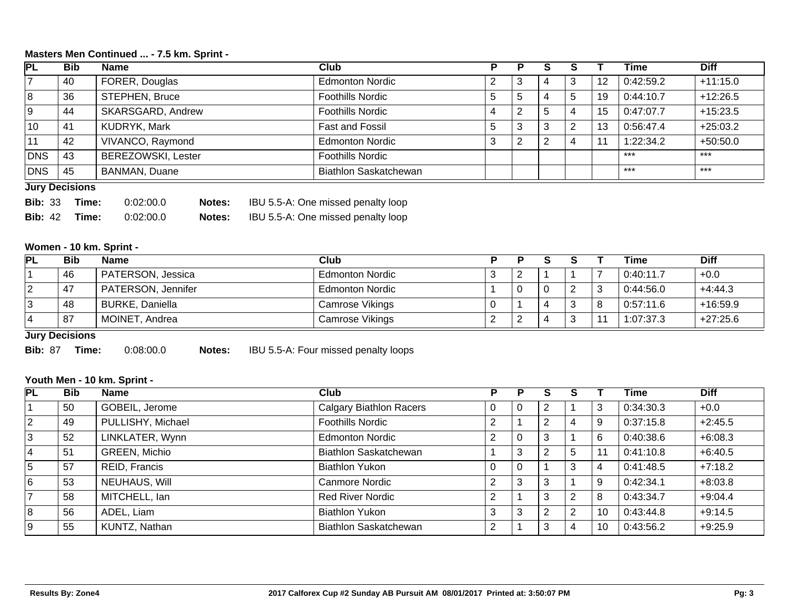## **Masters Men Continued ... - 7.5 km. Sprint -**

| PL         | <b>Bib</b>            | <b>Name</b>               | Club                         |   |   |   |   |    | Time      | <b>Diff</b> |
|------------|-----------------------|---------------------------|------------------------------|---|---|---|---|----|-----------|-------------|
|            | 40                    | FORER, Douglas            | <b>Edmonton Nordic</b>       |   | C |   | 3 | 12 | 0:42:59.2 | $+11:15.0$  |
| 8          | 36                    | STEPHEN, Bruce            | <b>Foothills Nordic</b>      | đ | 5 | 4 | 5 | 19 | 0:44:10.7 | $+12:26.5$  |
| Ι9         | 44                    | SKARSGARD, Andrew         | <b>Foothills Nordic</b>      |   | C | b | 4 | 15 | 0:47:07.7 | $+15:23.5$  |
| 10         | 41                    | KUDRYK, Mark              | Fast and Fossil              |   | 3 | 3 | 2 | 13 | 0:56:47.4 | $+25:03.2$  |
| 11         | 42                    | VIVANCO, Raymond          | <b>Edmonton Nordic</b>       | 3 | 2 | ာ |   |    | 1:22:34.2 | $+50:50.0$  |
| DNS        | 43                    | <b>BEREZOWSKI, Lester</b> | <b>Foothills Nordic</b>      |   |   |   |   |    | ***       | $***$       |
| <b>DNS</b> | 45                    | BANMAN, Duane             | <b>Biathlon Saskatchewan</b> |   |   |   |   |    | ***       | $***$       |
|            | <b>Jury Decisions</b> |                           |                              |   |   |   |   |    |           |             |

| <b>Bib: 33</b> | Time: | 0.02:00.0 | <b>Notes:</b> | IBU 5.5-A: One missed penalty loop |
|----------------|-------|-----------|---------------|------------------------------------|
| <b>Bib:</b> 42 | Time: | 0.02:00.0 | <b>Notes:</b> | IBU 5.5-A: One missed penalty loop |

## **Women - 10 km. Sprint -**

| <b>PL</b> | <b>Bib</b> | <b>Name</b>              | Club                   |          |   | <b>Time</b> | <b>Diff</b> |
|-----------|------------|--------------------------|------------------------|----------|---|-------------|-------------|
|           | 46         | <b>PATERSON, Jessica</b> | <b>Edmonton Nordic</b> | <u>_</u> |   | 0:40:11.7   | $+0.0$      |
|           | 47         | PATERSON, Jennifer       | <b>Edmonton Nordic</b> |          | ∼ | 0:44:56.0   | $+4:44.3$   |
|           | 48         | BURKE, Daniella          | Camrose Vikings        |          |   | 0:57:11.6   | $+16:59.9$  |
|           | 87         | MOINET, Andrea           | Camrose Vikings        |          |   | 1:07:37.3   | $+27:25.6$  |

**Jury Decisions**

**Bib:** 87 **Time:** 0:08:00.0 **Notes:** IBU 5.5-A: Four missed penalty loops

#### **Youth Men - 10 km. Sprint -**

| <b>PL</b>   | <b>Bib</b> | <b>Name</b>       | Club                           |          | Р |                |    | Time      | <b>Diff</b> |
|-------------|------------|-------------------|--------------------------------|----------|---|----------------|----|-----------|-------------|
|             | 50         | GOBEIL, Jerome    | <b>Calgary Biathlon Racers</b> | U        | 0 |                | 3  | 0:34:30.3 | $+0.0$      |
| $ 2\rangle$ | 49         | PULLISHY, Michael | <b>Foothills Nordic</b>        | ົ        |   | 4              | 9  | 0:37:15.8 | $+2:45.5$   |
| 3           | 52         | LINKLATER, Wynn   | <b>Edmonton Nordic</b>         | 2        | 0 |                | 6  | 0:40:38.6 | $+6:08.3$   |
| 4           | 51         | GREEN, Michio     | <b>Biathlon Saskatchewan</b>   |          | 3 | 5              | 11 | 0:41:10.8 | $+6:40.5$   |
| 5           | 57         | REID, Francis     | <b>Biathlon Yukon</b>          |          | 0 | 3              | 4  | 0:41:48.5 | $+7:18.2$   |
| 6           | 53         | NEUHAUS, Will     | <b>Canmore Nordic</b>          | $\Omega$ | 3 |                | 9  | 0:42:34.1 | $+8:03.8$   |
|             | 58         | MITCHELL, Ian     | <b>Red River Nordic</b>        | 2        |   | 2              | 8  | 0:43:34.7 | $+9:04.4$   |
| 8           | 56         | ADEL, Liam        | <b>Biathlon Yukon</b>          | 3        | 3 | $\overline{2}$ | 10 | 0:43:44.8 | $+9:14.5$   |
| 9           | 55         | KUNTZ, Nathan     | <b>Biathlon Saskatchewan</b>   | C        |   | 4              | 10 | 0:43:56.2 | $+9:25.9$   |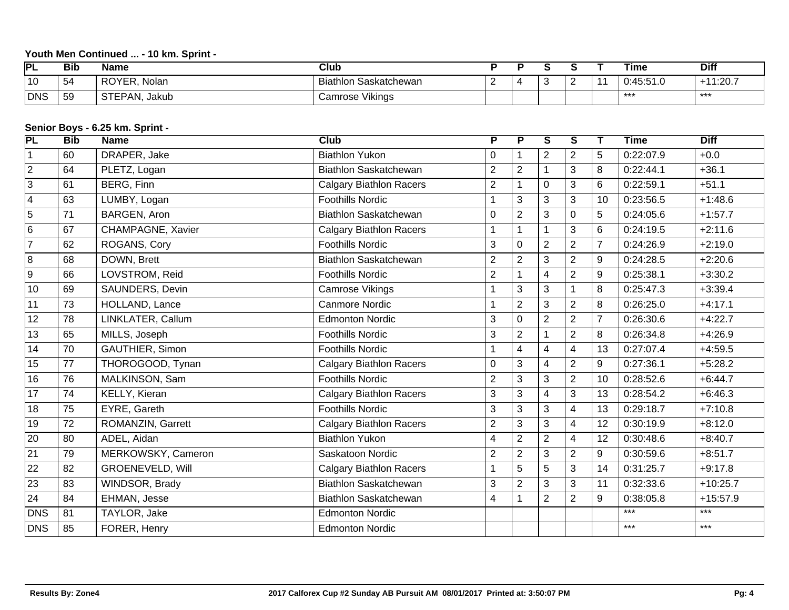# **Youth Men Continued ... - 10 km. Sprint -**

| ÞΙ             | <b>Bib</b> | Name             | Club                              |   |     |     | Time                       | <b>Diff</b>        |
|----------------|------------|------------------|-----------------------------------|---|-----|-----|----------------------------|--------------------|
| $^{\prime}$ 10 | 54         | ROYER,<br>Nolan  | <b>Biathlon</b><br>، Saskatchewan | - | . . | . . | $0.15.51$ $0$<br>+0.0 I .U | $144.20 -$<br>.ZU. |
| DNS            | 59         | STEPAN,<br>Jakub | <b>Camrose Vikings</b>            |   |     |     | ***                        | ***                |

# **Senior Boys - 6.25 km. Sprint -**

| PL                      | <b>Bib</b> | - 11<br><b>Name</b>      | Club                           | P              | $\overline{\mathsf{P}}$ | $\overline{\mathsf{s}}$ | $\overline{s}$ | Т              | <b>Time</b> | <b>Diff</b> |
|-------------------------|------------|--------------------------|--------------------------------|----------------|-------------------------|-------------------------|----------------|----------------|-------------|-------------|
| $\mathbf{1}$            | 60         | DRAPER, Jake             | <b>Biathlon Yukon</b>          | 0              |                         | $\overline{2}$          | $\overline{2}$ | 5              | 0:22:07.9   | $+0.0$      |
| $\overline{2}$          | 64         | PLETZ, Logan             | Biathlon Saskatchewan          | $\overline{2}$ | $\sqrt{2}$              |                         | 3              | 8              | 0:22:44.1   | $+36.1$     |
| $\overline{3}$          | 61         | <b>BERG, Finn</b>        | <b>Calgary Biathlon Racers</b> | $\overline{2}$ | $\mathbf{1}$            | $\mathbf 0$             | 3              | 6              | 0:22:59.1   | $+51.1$     |
| $\overline{\mathbf{4}}$ | 63         | LUMBY, Logan             | <b>Foothills Nordic</b>        | 1              | 3                       | 3                       | 3              | 10             | 0:23:56.5   | $+1:48.6$   |
| $\overline{5}$          | 71         | BARGEN, Aron             | Biathlon Saskatchewan          | $\mathbf 0$    | $\overline{2}$          | 3                       | 0              | 5              | 0:24:05.6   | $+1:57.7$   |
| $6\phantom{1}$          | 67         | <b>CHAMPAGNE, Xavier</b> | <b>Calgary Biathlon Racers</b> | $\mathbf{1}$   | $\mathbf{1}$            |                         | 3              | 6              | 0:24:19.5   | $+2:11.6$   |
| $\overline{7}$          | 62         | ROGANS, Cory             | <b>Foothills Nordic</b>        | 3              | $\mathsf 0$             | $\overline{2}$          | $\overline{2}$ | $\overline{7}$ | 0:24:26.9   | $+2:19.0$   |
| 8                       | 68         | DOWN, Brett              | Biathlon Saskatchewan          | $\overline{2}$ | $\overline{2}$          | 3                       | $\overline{2}$ | 9              | 0:24:28.5   | $+2:20.6$   |
| $9\,$                   | 66         | LOVSTROM, Reid           | <b>Foothills Nordic</b>        | $\overline{2}$ | $\mathbf 1$             | 4                       | $\overline{2}$ | 9              | 0:25:38.1   | $+3:30.2$   |
| 10                      | 69         | SAUNDERS, Devin          | <b>Camrose Vikings</b>         | $\mathbf 1$    | 3                       | 3                       | 1              | 8              | 0:25:47.3   | $+3:39.4$   |
| 11                      | 73         | HOLLAND, Lance           | <b>Canmore Nordic</b>          | $\mathbf{1}$   | $\overline{2}$          | 3                       | $\overline{2}$ | 8              | 0:26:25.0   | $+4:17.1$   |
| 12                      | 78         | LINKLATER, Callum        | <b>Edmonton Nordic</b>         | 3              | $\mathbf 0$             | $\overline{2}$          | $\overline{2}$ | $\overline{7}$ | 0:26:30.6   | $+4:22.7$   |
| 13                      | 65         | MILLS, Joseph            | <b>Foothills Nordic</b>        | $\mathbf{3}$   | $\overline{2}$          |                         | $\overline{2}$ | 8              | 0:26:34.8   | $+4:26.9$   |
| 14                      | 70         | GAUTHIER, Simon          | <b>Foothills Nordic</b>        | $\mathbf{1}$   | $\overline{4}$          | 4                       | 4              | 13             | 0:27:07.4   | $+4:59.5$   |
| 15                      | 77         | THOROGOOD, Tynan         | <b>Calgary Biathlon Racers</b> | $\mathbf 0$    | $\mathfrak{S}$          | $\overline{4}$          | $\overline{2}$ | 9              | 0:27:36.1   | $+5:28.2$   |
| 16                      | 76         | MALKINSON, Sam           | <b>Foothills Nordic</b>        | $\overline{2}$ | 3                       | 3                       | $\overline{2}$ | 10             | 0:28:52.6   | $+6:44.7$   |
| 17                      | 74         | KELLY, Kieran            | <b>Calgary Biathlon Racers</b> | 3              | $\mathbf{3}$            | 4                       | 3              | 13             | 0:28:54.2   | $+6:46.3$   |
| 18                      | 75         | EYRE, Gareth             | <b>Foothills Nordic</b>        | 3              | $\mathbf{3}$            | 3                       | 4              | 13             | 0:29:18.7   | $+7:10.8$   |
| 19                      | 72         | ROMANZIN, Garrett        | <b>Calgary Biathlon Racers</b> | $\overline{2}$ | $\overline{3}$          | 3                       | $\overline{4}$ | 12             | 0:30:19.9   | $+8:12.0$   |
| 20                      | 80         | ADEL, Aidan              | <b>Biathlon Yukon</b>          | 4              | $\overline{2}$          | $\overline{2}$          | 4              | 12             | 0:30:48.6   | $+8:40.7$   |
| $\overline{21}$         | 79         | MERKOWSKY, Cameron       | Saskatoon Nordic               | $\overline{2}$ | $\overline{2}$          | 3                       | $\overline{2}$ | 9              | 0:30:59.6   | $+8:51.7$   |
| 22                      | 82         | <b>GROENEVELD, Will</b>  | <b>Calgary Biathlon Racers</b> | 1              | 5                       | 5                       | 3              | 14             | 0:31:25.7   | $+9:17.8$   |
| 23                      | 83         | WINDSOR, Brady           | Biathlon Saskatchewan          | 3              | $\overline{2}$          | 3                       | 3              | 11             | 0:32:33.6   | $+10:25.7$  |
| 24                      | 84         | EHMAN, Jesse             | Biathlon Saskatchewan          | $\overline{4}$ | 1                       | $\overline{2}$          | $\overline{2}$ | 9              | 0:38:05.8   | $+15:57.9$  |
| DNS                     | 81         | TAYLOR, Jake             | <b>Edmonton Nordic</b>         |                |                         |                         |                |                | $***$       | $***$       |
| <b>DNS</b>              | 85         | FORER, Henry             | <b>Edmonton Nordic</b>         |                |                         |                         |                |                | $***$       | $***$       |